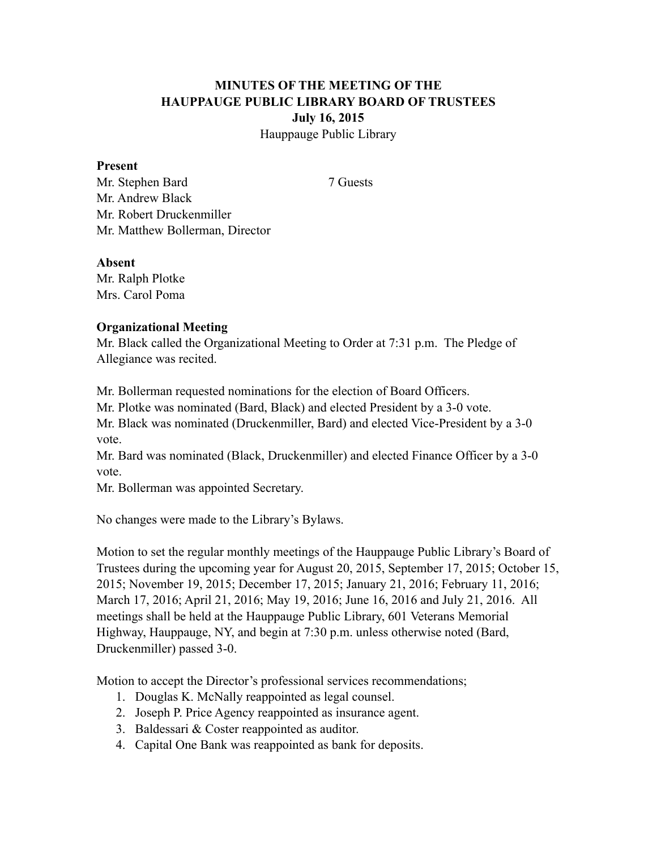## **MINUTES OF THE MEETING OF THE HAUPPAUGE PUBLIC LIBRARY BOARD OF TRUSTEES July 16, 2015** Hauppauge Public Library

#### **Present**

Mr. Stephen Bard 7 Guests Mr. Andrew Black Mr. Robert Druckenmiller Mr. Matthew Bollerman, Director

#### **Absent**

Mr. Ralph Plotke Mrs. Carol Poma

### **Organizational Meeting**

Mr. Black called the Organizational Meeting to Order at 7:31 p.m. The Pledge of Allegiance was recited.

Mr. Bollerman requested nominations for the election of Board Officers.

Mr. Plotke was nominated (Bard, Black) and elected President by a 3-0 vote.

Mr. Black was nominated (Druckenmiller, Bard) and elected Vice-President by a 3-0 vote.

Mr. Bard was nominated (Black, Druckenmiller) and elected Finance Officer by a 3-0 vote.

Mr. Bollerman was appointed Secretary.

No changes were made to the Library's Bylaws.

Motion to set the regular monthly meetings of the Hauppauge Public Library's Board of Trustees during the upcoming year for August 20, 2015, September 17, 2015; October 15, 2015; November 19, 2015; December 17, 2015; January 21, 2016; February 11, 2016; March 17, 2016; April 21, 2016; May 19, 2016; June 16, 2016 and July 21, 2016. All meetings shall be held at the Hauppauge Public Library, 601 Veterans Memorial Highway, Hauppauge, NY, and begin at 7:30 p.m. unless otherwise noted (Bard, Druckenmiller) passed 3-0.

Motion to accept the Director's professional services recommendations;

- 1. Douglas K. McNally reappointed as legal counsel.
- 2. Joseph P. Price Agency reappointed as insurance agent.
- 3. Baldessari & Coster reappointed as auditor.
- 4. Capital One Bank was reappointed as bank for deposits.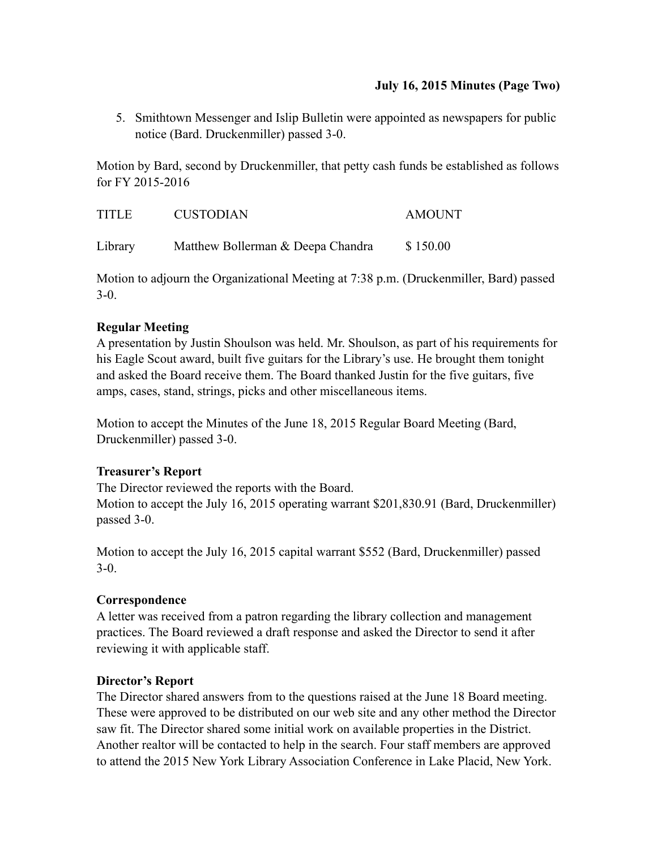### **July 16, 2015 Minutes (Page Two)**

5. Smithtown Messenger and Islip Bulletin were appointed as newspapers for public notice (Bard. Druckenmiller) passed 3-0.

Motion by Bard, second by Druckenmiller, that petty cash funds be established as follows for FY 2015-2016

| <b>TITLE</b> | <b>CUSTODIAN</b>                  | <b>AMOUNT</b> |
|--------------|-----------------------------------|---------------|
| Library      | Matthew Bollerman & Deepa Chandra | \$150.00      |

Motion to adjourn the Organizational Meeting at 7:38 p.m. (Druckenmiller, Bard) passed 3-0.

## **Regular Meeting**

A presentation by Justin Shoulson was held. Mr. Shoulson, as part of his requirements for his Eagle Scout award, built five guitars for the Library's use. He brought them tonight and asked the Board receive them. The Board thanked Justin for the five guitars, five amps, cases, stand, strings, picks and other miscellaneous items.

Motion to accept the Minutes of the June 18, 2015 Regular Board Meeting (Bard, Druckenmiller) passed 3-0.

# **Treasurer's Report**

The Director reviewed the reports with the Board. Motion to accept the July 16, 2015 operating warrant \$201,830.91 (Bard, Druckenmiller) passed 3-0.

Motion to accept the July 16, 2015 capital warrant \$552 (Bard, Druckenmiller) passed 3-0.

# **Correspondence**

A letter was received from a patron regarding the library collection and management practices. The Board reviewed a draft response and asked the Director to send it after reviewing it with applicable staff.

### **Director's Report**

The Director shared answers from to the questions raised at the June 18 Board meeting. These were approved to be distributed on our web site and any other method the Director saw fit. The Director shared some initial work on available properties in the District. Another realtor will be contacted to help in the search. Four staff members are approved to attend the 2015 New York Library Association Conference in Lake Placid, New York.